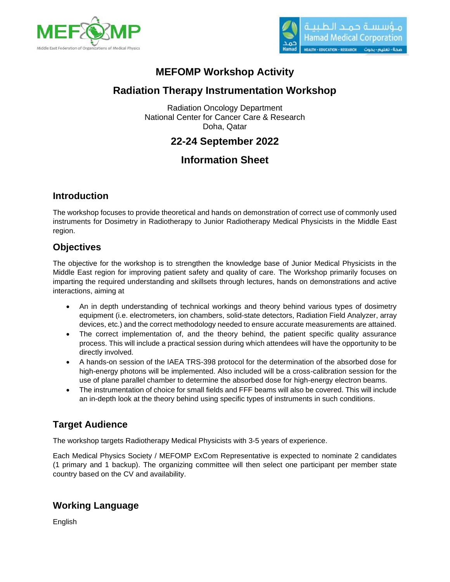



# **MEFOMP Workshop Activity**

# **Radiation Therapy Instrumentation Workshop**

Radiation Oncology Department National Center for Cancer Care & Research Doha, Qatar

## **22-24 September 2022**

# **Information Sheet**

### **Introduction**

The workshop focuses to provide theoretical and hands on demonstration of correct use of commonly used instruments for Dosimetry in Radiotherapy to Junior Radiotherapy Medical Physicists in the Middle East region.

### **Objectives**

The objective for the workshop is to strengthen the knowledge base of Junior Medical Physicists in the Middle East region for improving patient safety and quality of care. The Workshop primarily focuses on imparting the required understanding and skillsets through lectures, hands on demonstrations and active interactions, aiming at

- An in depth understanding of technical workings and theory behind various types of dosimetry equipment (i.e. electrometers, ion chambers, solid-state detectors, Radiation Field Analyzer, array devices, etc.) and the correct methodology needed to ensure accurate measurements are attained.
- The correct implementation of, and the theory behind, the patient specific quality assurance process. This will include a practical session during which attendees will have the opportunity to be directly involved.
- A hands-on session of the IAEA TRS-398 protocol for the determination of the absorbed dose for high-energy photons will be implemented. Also included will be a cross-calibration session for the use of plane parallel chamber to determine the absorbed dose for high-energy electron beams.
- The instrumentation of choice for small fields and FFF beams will also be covered. This will include an in-depth look at the theory behind using specific types of instruments in such conditions.

## **Target Audience**

The workshop targets Radiotherapy Medical Physicists with 3-5 years of experience.

Each Medical Physics Society / MEFOMP ExCom Representative is expected to nominate 2 candidates (1 primary and 1 backup). The organizing committee will then select one participant per member state country based on the CV and availability.

## **Working Language**

English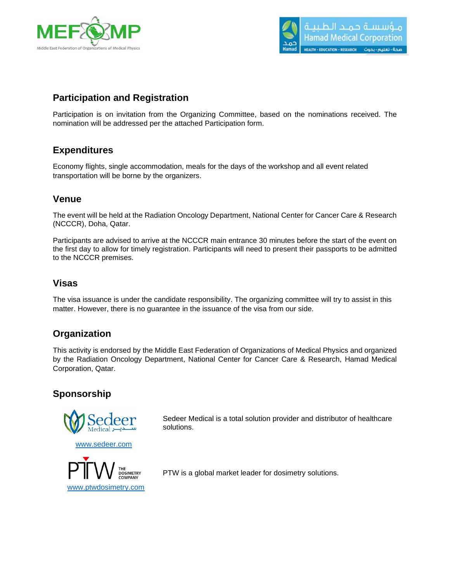



### **Participation and Registration**

Participation is on invitation from the Organizing Committee, based on the nominations received. The nomination will be addressed per the attached Participation form.

#### **Expenditures**

Economy flights, single accommodation, meals for the days of the workshop and all event related transportation will be borne by the organizers.

#### **Venue**

The event will be held at the Radiation Oncology Department, National Center for Cancer Care & Research (NCCCR), Doha, Qatar.

Participants are advised to arrive at the NCCCR main entrance 30 minutes before the start of the event on the first day to allow for timely registration. Participants will need to present their passports to be admitted to the NCCCR premises.

#### **Visas**

The visa issuance is under the candidate responsibility. The organizing committee will try to assist in this matter. However, there is no guarantee in the issuance of the visa from our side.

#### **Organization**

This activity is endorsed by the Middle East Federation of Organizations of Medical Physics and organized by the Radiation Oncology Department, National Center for Cancer Care & Research, Hamad Medical Corporation, Qatar.

#### **Sponsorship**



Sedeer Medical is a total solution provider and distributor of healthcare solutions.



[www.sedeer.com](http://www.sedeer.com/)

PTW is a global market leader for dosimetry solutions.